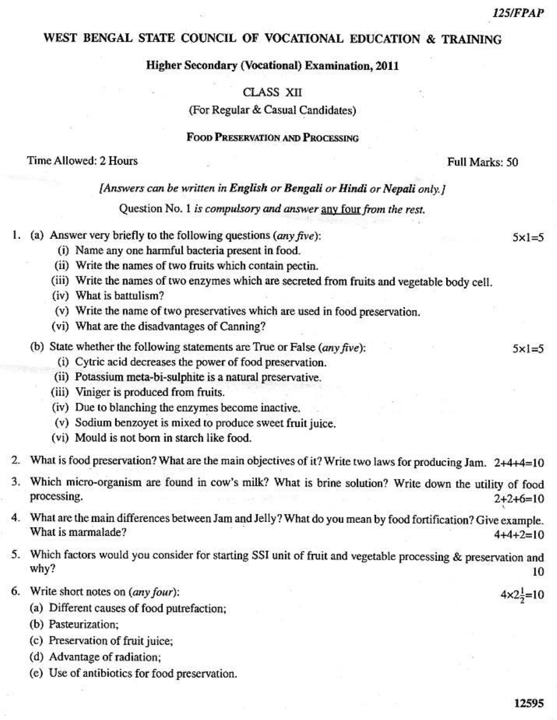# WEST BENGAL STATE COUNCIL OF VOCATIONAL EDUCATION & TRAINING

## **Higher Secondary (Vocational) Examination, 2011**

## CLASS XII

(For Regular & Casual Candidates)

# **FOOD PRESERVATION AND PROCESSING**

#### Time Allowed: 2 Hours

#### [Answers can be written in English or Bengali or Hindi or Nepali only.]

Question No. 1 is compulsory and answer any four from the rest.

- 1. (a) Answer very briefly to the following questions  $(\text{any five})$ :
	- (i) Name any one harmful bacteria present in food.
	- (ii) Write the names of two fruits which contain pectin.
	- (iii) Write the names of two enzymes which are secreted from fruits and vegetable body cell.
	- (iv) What is battulism?
	- (v) Write the name of two preservatives which are used in food preservation.
	- (vi) What are the disadvantages of Canning?
	- (b) State whether the following statements are True or False (any five):
		- (i) Cytric acid decreases the power of food preservation.
		- (ii) Potassium meta-bi-sulphite is a natural preservative.
		- (iii) Viniger is produced from fruits.
		- (iv) Due to blanching the enzymes become inactive.
		- (v) Sodium benzoyet is mixed to produce sweet fruit juice.
		- (vi) Mould is not born in starch like food.
- 2. What is food preservation? What are the main objectives of it? Write two laws for producing Jam. 2+4+4=10
- 3. Which micro-organism are found in cow's milk? What is brine solution? Write down the utility of food processing.  $2+2+6=10$
- 4. What are the main differences between Jam and Jelly? What do you mean by food fortification? Give example. What is marmalade?  $4+4+2=10$
- 5. Which factors would you consider for starting SSI unit of fruit and vegetable processing & preservation and why? 10
- 6. Write short notes on (any four):
	- (a) Different causes of food putrefaction;
	- (b) Pasteurization;
	- (c) Preservation of fruit juice;
	- (d) Advantage of radiation;
	- (e) Use of antibiotics for food preservation.

 $4 \times 2\frac{1}{2} = 10$ 

Full Marks: 50

 $5 \times 1 = 5$ 

 $5 \times 1 = 5$